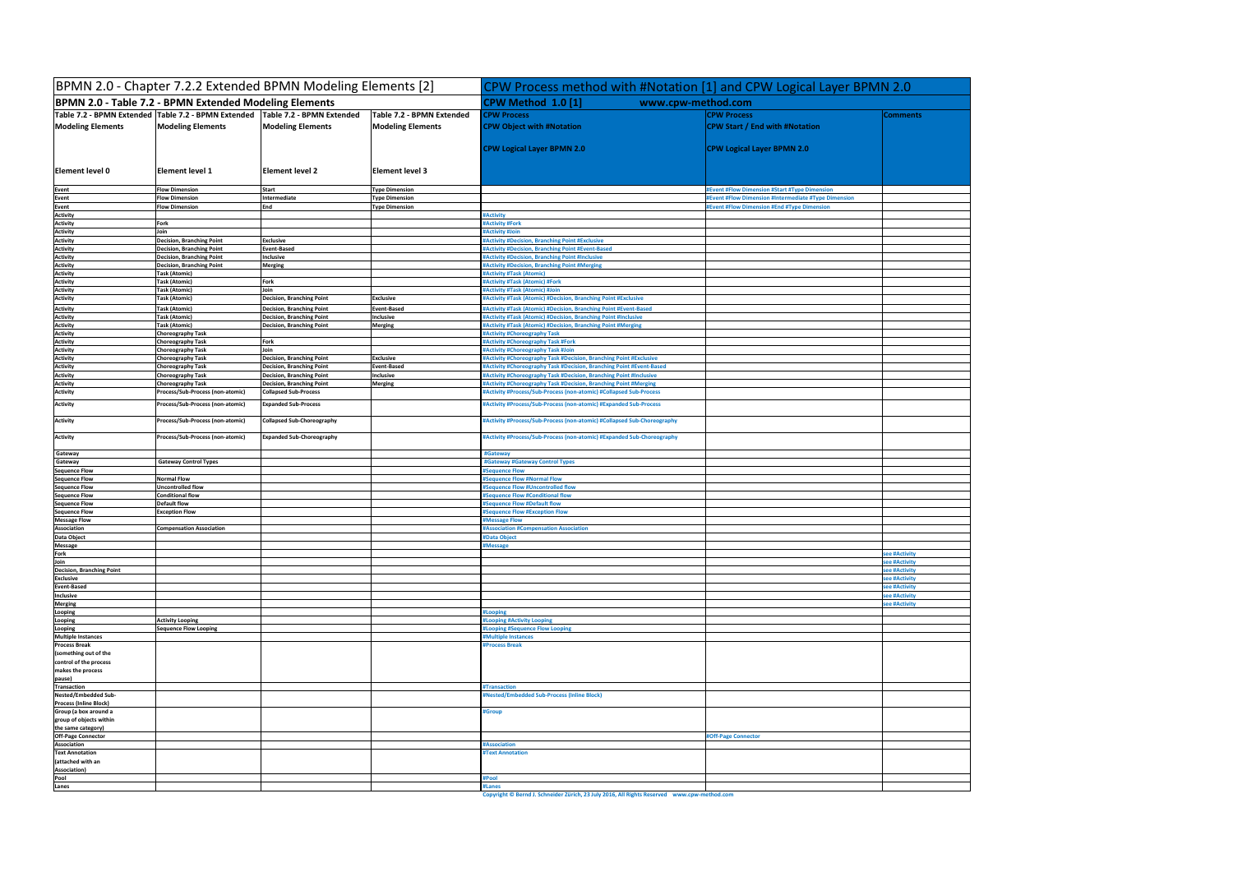| BPMN 2.0 - Chapter 7.2.2 Extended BPMN Modeling Elements [2]<br><b>BPMN 2.0 - Table 7.2 - BPMN Extended Modeling Elements</b> |                                                          |                                                                      |                                 | CPW Process method with #Notation [1] and CPW Logical Layer BPMN 2.0<br>CPW Method 1.0 [1]<br>www.cpw-method.com                           |                                                      |                               |
|-------------------------------------------------------------------------------------------------------------------------------|----------------------------------------------------------|----------------------------------------------------------------------|---------------------------------|--------------------------------------------------------------------------------------------------------------------------------------------|------------------------------------------------------|-------------------------------|
|                                                                                                                               |                                                          |                                                                      |                                 |                                                                                                                                            |                                                      |                               |
| Element level 0                                                                                                               | Element level 1                                          | <b>Element level 2</b>                                               | <b>Element level 3</b>          | <b>CPW Logical Layer BPMN 2.0</b>                                                                                                          | <b>CPW Logical Layer BPMN 2.0</b>                    |                               |
| Event                                                                                                                         | <b>Flow Dimension</b>                                    | <b>Start</b>                                                         | Type Dimension                  |                                                                                                                                            | #Event #Flow Dimension #Start #Type Dimension        |                               |
| Event                                                                                                                         | <b>Flow Dimension</b>                                    | Intermediate                                                         | <b>Type Dimension</b>           |                                                                                                                                            | #Event #Flow Dimension #Intermediate #Type Dimension |                               |
| Event                                                                                                                         | <b>Flow Dimension</b>                                    | End                                                                  | <b>Type Dimension</b>           |                                                                                                                                            | <b>Event #Flow Dimension #End #Type Dimension</b>    |                               |
| <b>Activity</b>                                                                                                               |                                                          |                                                                      |                                 | #Activity                                                                                                                                  |                                                      |                               |
| <b>Activity</b><br><b>Activity</b>                                                                                            | Fork<br>Join                                             |                                                                      |                                 | #Activity #Fork<br>#Activity #Join                                                                                                         |                                                      |                               |
| <b>Activity</b>                                                                                                               | Decision, Branching Point                                | <b>Exclusive</b>                                                     |                                 | #Activity #Decision, Branching Point #Exclusive                                                                                            |                                                      |                               |
| <b>Activity</b>                                                                                                               | <b>Decision, Branching Point</b>                         | <b>Event-Based</b>                                                   |                                 | #Activity #Decision, Branching Point #Event-Based                                                                                          |                                                      |                               |
| <b>Activity</b>                                                                                                               | Decision, Branching Point                                | Inclusive                                                            |                                 | #Activity #Decision, Branching Point #Inclusive                                                                                            |                                                      |                               |
| <b>Activity</b><br>Activity                                                                                                   | <b>Decision, Branching Point</b><br><b>Task (Atomic)</b> | <b>Merging</b>                                                       |                                 | #Activity #Decision, Branching Point #Merging<br>#Activity #Task (Atomic)                                                                  |                                                      |                               |
| <b>Activity</b>                                                                                                               | Task (Atomic)                                            | Fork                                                                 |                                 | #Activity #Task (Atomic) #Fork                                                                                                             |                                                      |                               |
| <b>Activity</b>                                                                                                               | <b>Task (Atomic)</b>                                     | Join                                                                 |                                 | #Activity #Task (Atomic) #Join                                                                                                             |                                                      |                               |
| Activity                                                                                                                      | Task (Atomic)                                            | <b>Decision, Branching Point</b>                                     | <b>Exclusive</b>                | #Activity #Task (Atomic) #Decision, Branching Point #Exclusive                                                                             |                                                      |                               |
| Activity                                                                                                                      | <b>Task (Atomic)</b>                                     | <b>Decision, Branching Point</b>                                     | Event-Based                     | #Activity #Task (Atomic) #Decision, Branching Point #Event-Based                                                                           |                                                      |                               |
| <b>Activity</b><br><b>Activity</b>                                                                                            | <b>Task (Atomic)</b><br>Task (Atomic)                    | <b>Decision, Branching Point</b><br><b>Decision, Branching Point</b> | Inclusive                       | #Activity #Task (Atomic) #Decision, Branching Point #Inclusive<br>#Activity #Task (Atomic) #Decision, Branching Point #Merging             |                                                      |                               |
| <b>Activity</b>                                                                                                               | <b>Choreography Task</b>                                 |                                                                      | Merging                         | #Activity #Choreography Task                                                                                                               |                                                      |                               |
| Activity                                                                                                                      | <b>Choreography Task</b>                                 | Fork                                                                 |                                 | #Activity #Choreography Task #Fork                                                                                                         |                                                      |                               |
| <b>Activity</b>                                                                                                               | Choreography Task                                        | Join                                                                 |                                 | #Activity #Choreography Task #Join                                                                                                         |                                                      |                               |
| <b>Activity</b>                                                                                                               | <b>Choreography Task</b>                                 | <b>Decision, Branching Point</b>                                     | <b>Exclusive</b>                | #Activity #Choreography Task #Decision, Branching Point #Exclusive                                                                         |                                                      |                               |
| Activity<br><b>Activity</b>                                                                                                   | <b>Choreography Task</b><br>Choreography Task            | <b>Decision, Branching Point</b><br>Decision, Branching Point        | <b>Event-Based</b><br>Inclusive | #Activity #Choreography Task #Decision, Branching Point #Event-Based<br>#Activity #Choreography Task #Decision, Branching Point #Inclusive |                                                      |                               |
| <b>Activity</b>                                                                                                               | <b>Choreography Task</b>                                 | <b>Decision, Branching Point</b>                                     | Merging                         | #Activity #Choreography Task #Decision, Branching Point #Merging                                                                           |                                                      |                               |
| <b>Activity</b>                                                                                                               | Process/Sub-Process (non-atomic)                         | <b>Collapsed Sub-Process</b>                                         |                                 | #Activity #Process/Sub-Process (non-atomic) #Collapsed Sub-Process                                                                         |                                                      |                               |
| <b>Activity</b>                                                                                                               | Process/Sub-Process (non-atomic)                         | <b>Expanded Sub-Process</b>                                          |                                 | #Activity #Process/Sub-Process (non-atomic) #Expanded Sub-Process                                                                          |                                                      |                               |
| <b>Activity</b>                                                                                                               | Process/Sub-Process (non-atomic)                         | <b>Collapsed Sub-Choreography</b>                                    |                                 | #Activity #Process/Sub-Process (non-atomic) #Collapsed Sub-Choreography                                                                    |                                                      |                               |
| Activity                                                                                                                      | Process/Sub-Process (non-atomic)                         | <b>Expanded Sub-Choreography</b>                                     |                                 | #Activity #Process/Sub-Process (non-atomic) #Expanded Sub-Choreography                                                                     |                                                      |                               |
| Gateway<br>Gateway                                                                                                            | <b>Gateway Control Types</b>                             |                                                                      |                                 | #Gateway<br>#Gateway #Gateway Control Types                                                                                                |                                                      |                               |
| <b>Sequence Flow</b>                                                                                                          |                                                          |                                                                      |                                 | #Sequence Flow                                                                                                                             |                                                      |                               |
| <b>Sequence Flow</b>                                                                                                          | <b>Normal Flow</b>                                       |                                                                      |                                 | #Sequence Flow #Normal Flow                                                                                                                |                                                      |                               |
| <b>Sequence Flow</b><br><b>Sequence Flow</b>                                                                                  | Uncontrolled flow<br><b>Conditional flow</b>             |                                                                      |                                 | #Sequence Flow #Uncontrolled flow<br>#Sequence Flow #Conditional flow                                                                      |                                                      |                               |
| <b>Sequence Flow</b>                                                                                                          | <b>Default flow</b>                                      |                                                                      |                                 | #Sequence Flow #Default flow                                                                                                               |                                                      |                               |
| <b>Sequence Flow</b>                                                                                                          | <b>Exception Flow</b>                                    |                                                                      |                                 | #Sequence Flow #Exception Flow                                                                                                             |                                                      |                               |
| <b>Message Flow</b>                                                                                                           |                                                          |                                                                      |                                 | <b>#Message Flow</b>                                                                                                                       |                                                      |                               |
| Association<br>Data Object                                                                                                    | <b>Compensation Association</b>                          |                                                                      |                                 | #Association #Compensation Association<br>#Data Object                                                                                     |                                                      |                               |
| <b>Message</b>                                                                                                                |                                                          |                                                                      |                                 | #Message                                                                                                                                   |                                                      |                               |
| Fork                                                                                                                          |                                                          |                                                                      |                                 |                                                                                                                                            |                                                      | see #Activity                 |
| Join                                                                                                                          |                                                          |                                                                      |                                 |                                                                                                                                            |                                                      | see #Activity                 |
| <b>Decision, Branching Point</b><br><b>Exclusive</b>                                                                          |                                                          |                                                                      |                                 |                                                                                                                                            |                                                      | see #Activity<br>ee #Activity |
| <b>Event-Based</b>                                                                                                            |                                                          |                                                                      |                                 |                                                                                                                                            |                                                      | see #Activity                 |
| Inclusive                                                                                                                     |                                                          |                                                                      |                                 |                                                                                                                                            |                                                      | see #Activity                 |
| <b>Merging</b>                                                                                                                |                                                          |                                                                      |                                 |                                                                                                                                            |                                                      | ee #Activity                  |
| Looping                                                                                                                       | <b>Activity Looping</b>                                  |                                                                      |                                 | #Looping<br>#Looping #Activity Looping                                                                                                     |                                                      |                               |
| Looping<br>Looping                                                                                                            | <b>Sequence Flow Looping</b>                             |                                                                      |                                 | #Looping #Sequence Flow Looping                                                                                                            |                                                      |                               |
| <b>Multiple Instances</b>                                                                                                     |                                                          |                                                                      |                                 | #Multiple Instances                                                                                                                        |                                                      |                               |
| <b>Process Break</b><br>(something out of the                                                                                 |                                                          |                                                                      |                                 | <b>#Process Break</b>                                                                                                                      |                                                      |                               |
| control of the process<br>makes the process                                                                                   |                                                          |                                                                      |                                 |                                                                                                                                            |                                                      |                               |
| pause)<br><b>Transaction</b>                                                                                                  |                                                          |                                                                      |                                 | #Transaction                                                                                                                               |                                                      |                               |
| Nested/Embedded Sub-<br><b>Process (Inline Block)</b>                                                                         |                                                          |                                                                      |                                 | #Nested/Embedded Sub-Process (Inline Block)                                                                                                |                                                      |                               |
| Group (a box around a<br>group of objects within                                                                              |                                                          |                                                                      |                                 | #Group                                                                                                                                     |                                                      |                               |
| the same category)<br><b>Off-Page Connector</b>                                                                               |                                                          |                                                                      |                                 |                                                                                                                                            | #Off-Page Connector                                  |                               |
| <b>Association</b>                                                                                                            |                                                          |                                                                      |                                 | #Association                                                                                                                               |                                                      |                               |
| <b>Text Annotation</b><br>(attached with an                                                                                   |                                                          |                                                                      |                                 | <b>#Text Annotation</b>                                                                                                                    |                                                      |                               |
| Association)<br>Pool                                                                                                          |                                                          |                                                                      |                                 | #Pool                                                                                                                                      |                                                      |                               |
| Lanes                                                                                                                         |                                                          |                                                                      |                                 | #Lanes                                                                                                                                     |                                                      |                               |
|                                                                                                                               |                                                          |                                                                      |                                 |                                                                                                                                            |                                                      |                               |

**Copyright © Bernd J. Schneider Zürich, 23 July 2016, All Rights Reserved www.cpw-method.com**